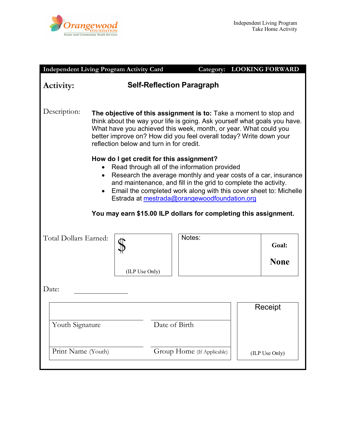

| <b>Independent Living Program Activity Card</b>                                                                                                                                                                                                                                                                                                                                                                         |                                                                                                                                                                                                                                                                                                                                      |  |                            |         | <b>Category: LOOKING FORWARD</b> |
|-------------------------------------------------------------------------------------------------------------------------------------------------------------------------------------------------------------------------------------------------------------------------------------------------------------------------------------------------------------------------------------------------------------------------|--------------------------------------------------------------------------------------------------------------------------------------------------------------------------------------------------------------------------------------------------------------------------------------------------------------------------------------|--|----------------------------|---------|----------------------------------|
| <b>Self-Reflection Paragraph</b><br>Activity:                                                                                                                                                                                                                                                                                                                                                                           |                                                                                                                                                                                                                                                                                                                                      |  |                            |         |                                  |
| Description:                                                                                                                                                                                                                                                                                                                                                                                                            | The objective of this assignment is to: Take a moment to stop and<br>think about the way your life is going. Ask yourself what goals you have.<br>What have you achieved this week, month, or year. What could you<br>better improve on? How did you feel overall today? Write down your<br>reflection below and turn in for credit. |  |                            |         |                                  |
| How do I get credit for this assignment?<br>Read through all of the information provided<br>Research the average monthly and year costs of a car, insurance<br>and maintenance, and fill in the grid to complete the activity.<br>Email the completed work along with this cover sheet to: Michelle<br>Estrada at mestrada@orangewoodfoundation.org<br>You may earn \$15.00 ILP dollars for completing this assignment. |                                                                                                                                                                                                                                                                                                                                      |  |                            |         |                                  |
| Total Dollars Earned:                                                                                                                                                                                                                                                                                                                                                                                                   | (ILP Use Only)                                                                                                                                                                                                                                                                                                                       |  | Notes:                     |         | Goal:<br><b>None</b>             |
| Date:                                                                                                                                                                                                                                                                                                                                                                                                                   |                                                                                                                                                                                                                                                                                                                                      |  |                            |         |                                  |
| Date of Birth<br>Youth Signature                                                                                                                                                                                                                                                                                                                                                                                        |                                                                                                                                                                                                                                                                                                                                      |  |                            | Receipt |                                  |
| Print Name (Youth)                                                                                                                                                                                                                                                                                                                                                                                                      |                                                                                                                                                                                                                                                                                                                                      |  | Group Home (If Applicable) |         | (ILP Use Only)                   |